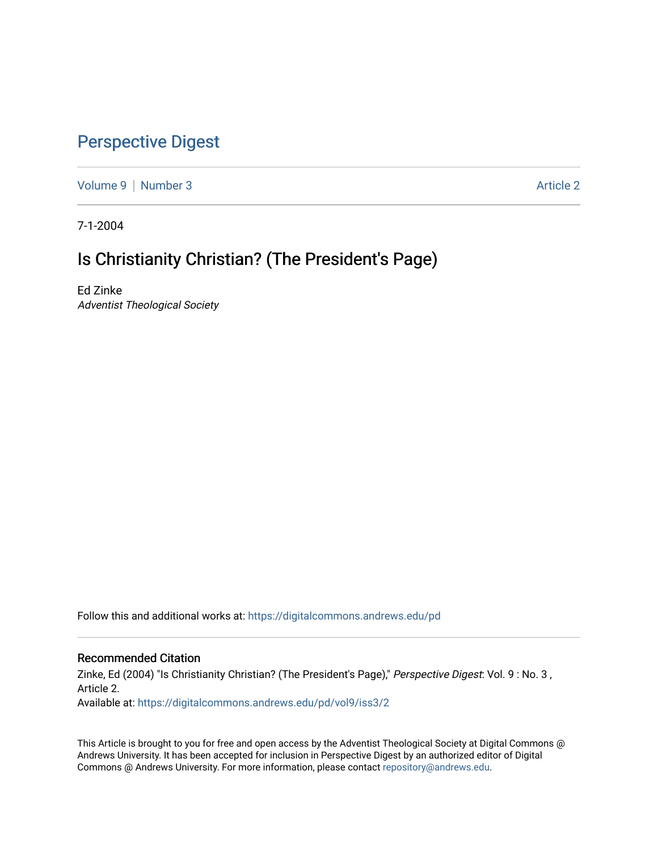# [Perspective Digest](https://digitalcommons.andrews.edu/pd)

[Volume 9](https://digitalcommons.andrews.edu/pd/vol9) | [Number 3](https://digitalcommons.andrews.edu/pd/vol9/iss3) Article 2

7-1-2004

# Is Christianity Christian? (The President's Page)

Ed Zinke Adventist Theological Society

Follow this and additional works at: [https://digitalcommons.andrews.edu/pd](https://digitalcommons.andrews.edu/pd?utm_source=digitalcommons.andrews.edu%2Fpd%2Fvol9%2Fiss3%2F2&utm_medium=PDF&utm_campaign=PDFCoverPages)

## Recommended Citation

Zinke, Ed (2004) "Is Christianity Christian? (The President's Page)," Perspective Digest: Vol. 9 : No. 3, Article 2. Available at: [https://digitalcommons.andrews.edu/pd/vol9/iss3/2](https://digitalcommons.andrews.edu/pd/vol9/iss3/2?utm_source=digitalcommons.andrews.edu%2Fpd%2Fvol9%2Fiss3%2F2&utm_medium=PDF&utm_campaign=PDFCoverPages)

This Article is brought to you for free and open access by the Adventist Theological Society at Digital Commons @ Andrews University. It has been accepted for inclusion in Perspective Digest by an authorized editor of Digital Commons @ Andrews University. For more information, please contact [repository@andrews.edu.](mailto:repository@andrews.edu)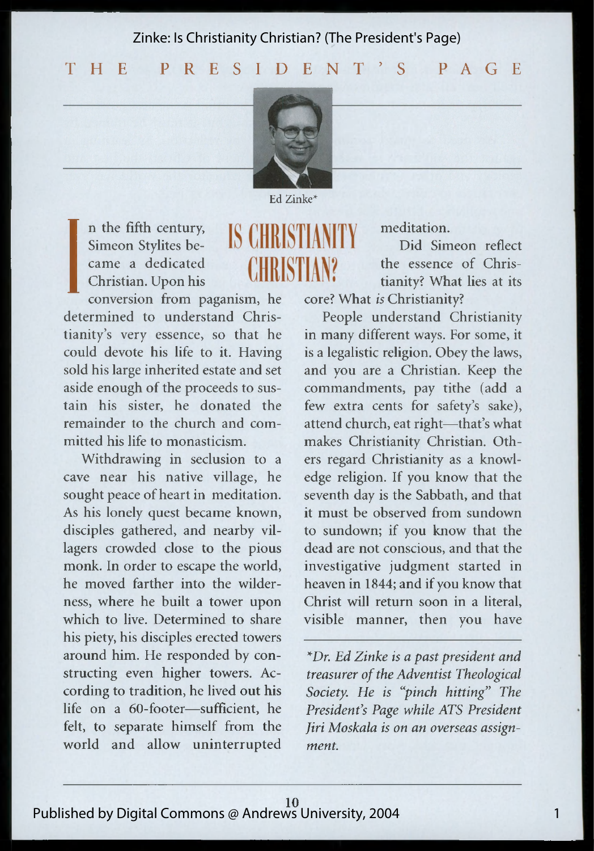Zinke: Is Christianity Christian? (The President's Page)

**T H E P R E S I D E N T ' S P A G E**



Ed Zinke\*

**CHRISTIAN2** 

IS CHRISTIANI

n the fifth century, Simeon Stylites became a dedicated Christian. Upon his

**I** conversion from paganism, he determined to understand Christianity's very essence, so that he could devote his life to it. Having sold his large inherited estate and set aside enough of the proceeds to sustain his sister, he donated the remainder to the church and committed his life to monasticism.

Withdrawing in seclusion to a cave near his native village, he sought peace of heart in meditation. As his lonely quest became known, disciples gathered, and nearby villagers crowded close to the pious monk. In order to escape the world, he moved farther into the wilderness, where he built a tower upon which to live. Determined to share his piety, his disciples erected towers around him. He responded by constructing even higher towers. According to tradition, he lived out his life on a 60-footer—sufficient, he felt, to separate himself from the world and allow uninterrupted meditation.

Did Simeon reflect the essence of Christianity? What lies at its core? What *is* Christianity?

People understand Christianity in many different ways. For some, it is a legalistic religion. Obey the laws, and you are a Christian. Keep the commandments, pay tithe (add a few extra cents for safety's sake), attend church, eat right—that's what makes Christianity Christian. Others regard Christianity as a knowledge religion. If you know that the seventh day is the Sabbath, and that it must be observed from sundown to sundown; if you know that the dead are not conscious, and that the investigative judgment started in heaven in 1844; and if you know that Christ will return soon in a literal, visible manner, then you have

*\*Dr. Ed Zinke is a past president and treasurer of the Adventist Theological Society. He is "pinch hitting" The President's Page while ATS President Jiri Moskala is on an overseas assignment.*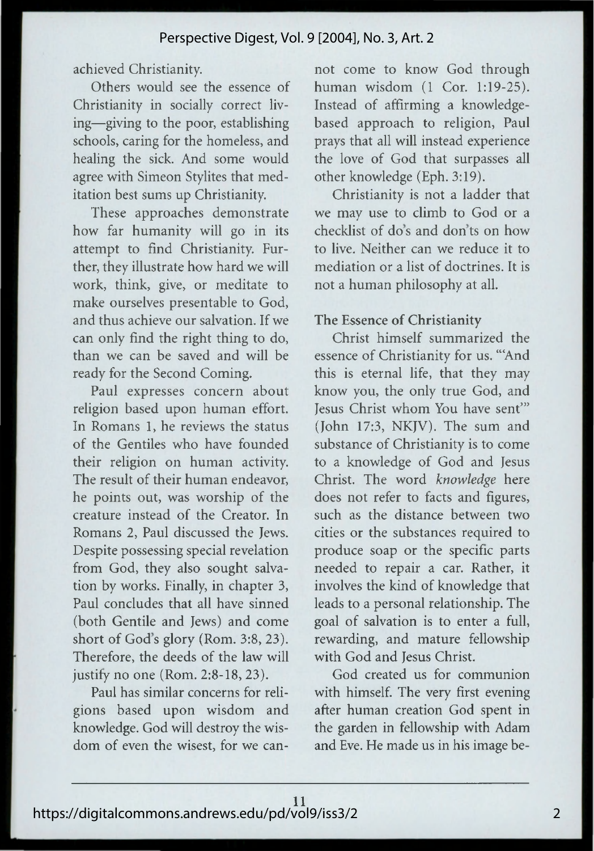achieved Christianity.

Others would see the essence of Christianity in socially correct living—giving to the poor, establishing schools, caring for the homeless, and healing the sick. And some would agree with Simeon Stylites that meditation best sums up Christianity.

These approaches demonstrate how far humanity will go in its attempt to find Christianity. Further, they illustrate how hard we will work, think, give, or meditate to make ourselves presentable to God, and thus achieve our salvation. If we can only find the right thing to do, than we can be saved and will be ready for the Second Coming.

Paul expresses concern about religion based upon human effort. In Romans 1, he reviews the status of the Gentiles who have founded their religion on human activity. The result of their human endeavor, he points out, was worship of the creature instead of the Creator. In Romans 2, Paul discussed the Jews. Despite possessing special revelation from God, they also sought salvation by works. Finally, in chapter 3, Paul concludes that all have sinned (both Gentile and Jews) and come short of God's glory (Rom. 3:8, 23). Therefore, the deeds of the law will justify no one (Rom. 2:8-18, 23).

Paul has similar concerns for religions based upon wisdom and knowledge. God will destroy the wisdom of even the wisest, for we can-

not come to know God through human wisdom (1 Cor. 1:19-25). Instead of affirming a knowledgebased approach to religion, Paul prays that all will instead experience the love of God that surpasses all other knowledge (Eph. 3:19).

Christianity is not a ladder that we may use to climb to God or a checklist of do's and don'ts on how to live. Neither can we reduce it to mediation or a list of doctrines. It is not a human philosophy at all.

#### **The Essence of Christianity**

Christ himself summarized the essence of Christianity for us. '"And this is eternal life, that they may know you, the only true God, and Jesus Christ whom You have sent'" (John 17:3, NKJV). The sum and substance of Christianity is to come to a knowledge of God and Jesus Christ. The word *knowledge* here does not refer to facts and figures, such as the distance between two cities or the substances required to produce soap or the specific parts needed to repair a car. Rather, it involves the kind of knowledge that leads to a personal relationship. The goal of salvation is to enter a full, rewarding, and mature fellowship with God and Jesus Christ.

God created us for communion with himself. The very first evening after human creation God spent in the garden in fellowship with Adam and Eve. He made us in his image be-